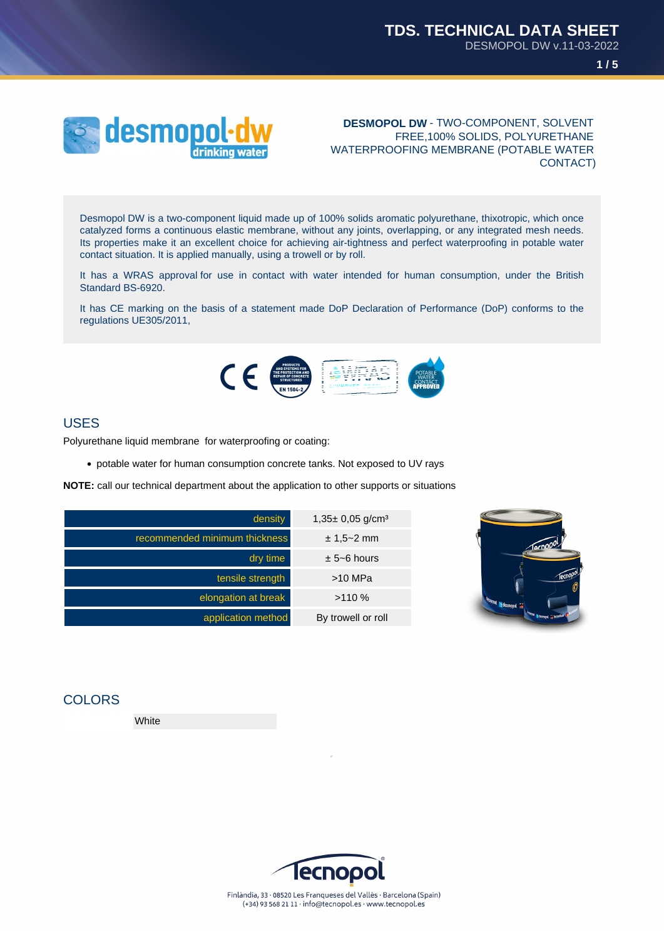



**DESMOPOL DW** - TWO-COMPONENT, SOLVENT FREE,100% SOLIDS, POLYURETHANE WATERPROOFING MEMBRANE (POTABLE WATER CONTACT)

Desmopol DW is a two-component liquid made up of 100% solids aromatic polyurethane, thixotropic, which once catalyzed forms a continuous elastic membrane, without any joints, overlapping, or any integrated mesh needs. Its properties make it an excellent choice for achieving air-tightness and perfect waterproofing in potable water contact situation. It is applied manually, using a trowell or by roll.

It has a WRAS approval for use in contact with water intended for human consumption, under the British Standard BS-6920.

It has CE marking on the basis of a statement made DoP Declaration of Performance (DoP) conforms to the regulations UE305/2011,



#### USES

Polyurethane liquid membrane for waterproofing or coating:

potable water for human consumption concrete tanks. Not exposed to UV rays

**NOTE:** call our technical department about the application to other supports or situations

| density                       | $1,35 \pm 0,05$ g/cm <sup>3</sup> |
|-------------------------------|-----------------------------------|
| recommended minimum thickness | $± 1,5~2$ mm                      |
| dry time                      | $\pm$ 5~6 hours                   |
| tensile strength              | $>10$ MPa                         |
| elongation at break           | >110%                             |
| application method            | By trowell or roll                |



#### **COLORS**

**White** 



Finlàndia, 33 · 08520 Les Franqueses del Vallès · Barcelona (Spain) (+34) 93 568 21 11 · info@tecnopol.es · www.tecnopol.es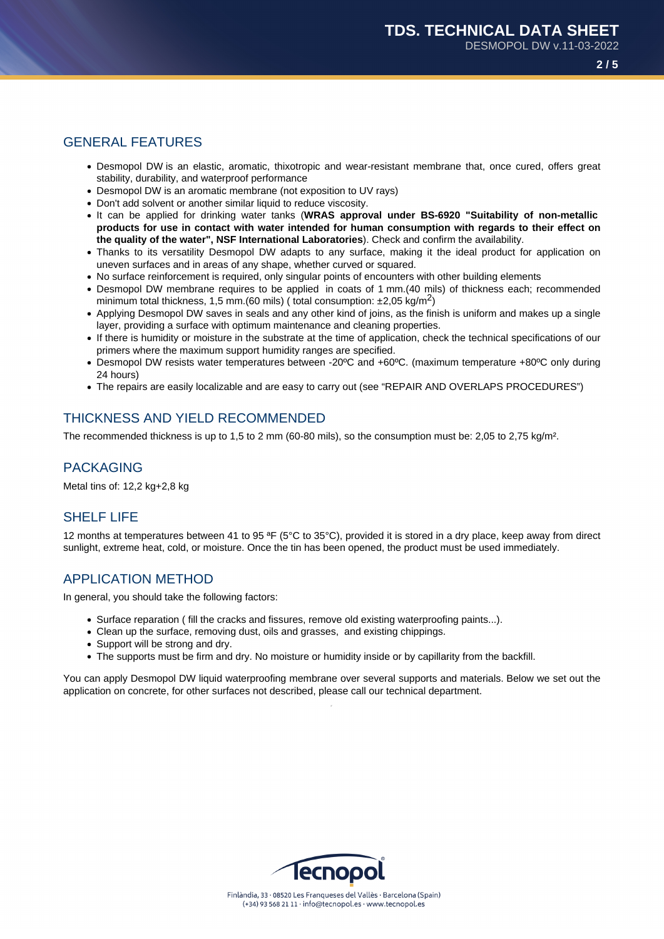**2 / 5**

# GENERAL FEATURES

- Desmopol DW is an elastic, aromatic, thixotropic and wear-resistant membrane that, once cured, offers great stability, durability, and waterproof performance
- Desmopol DW is an aromatic membrane (not exposition to UV rays)
- Don't add solvent or another similar liquid to reduce viscosity.
- It can be applied for drinking water tanks (**WRAS approval under BS-6920 "Suitability of non-metallic products for use in contact with water intended for human consumption with regards to their effect on the quality of the water", NSF International Laboratories**). Check and confirm the availability.
- Thanks to its versatility Desmopol DW adapts to any surface, making it the ideal product for application on uneven surfaces and in areas of any shape, whether curved or squared.
- No surface reinforcement is required, only singular points of encounters with other building elements
- Desmopol DW membrane requires to be applied in coats of 1 mm.(40 mils) of thickness each; recommended minimum total thickness, 1,5 mm.(60 mils) ( total consumption:  $\pm 2.05$  kg/m<sup>2</sup>)
- Applying Desmopol DW saves in seals and any other kind of joins, as the finish is uniform and makes up a single layer, providing a surface with optimum maintenance and cleaning properties.
- If there is humidity or moisture in the substrate at the time of application, check the technical specifications of our primers where the maximum support humidity ranges are specified.
- Desmopol DW resists water temperatures between -20ºC and +60ºC. (maximum temperature +80ºC only during 24 hours)
- The repairs are easily localizable and are easy to carry out (see "REPAIR AND OVERLAPS PROCEDURES")

# THICKNESS AND YIELD RECOMMENDED

The recommended thickness is up to 1,5 to 2 mm (60-80 mils), so the consumption must be: 2,05 to 2,75 kg/m².

### PACKAGING

Metal tins of: 12,2 kg+2,8 kg

# SHELF LIFE

12 months at temperatures between 41 to 95 ªF (5°C to 35°C), provided it is stored in a dry place, keep away from direct sunlight, extreme heat, cold, or moisture. Once the tin has been opened, the product must be used immediately.

# APPLICATION METHOD

In general, you should take the following factors:

- Surface reparation ( fill the cracks and fissures, remove old existing waterproofing paints...).
- Clean up the surface, removing dust, oils and grasses, and existing chippings.
- Support will be strong and dry.
- The supports must be firm and dry. No moisture or humidity inside or by capillarity from the backfill.

You can apply Desmopol DW liquid waterproofing membrane over several supports and materials. Below we set out the application on concrete, for other surfaces not described, please call our technical department.

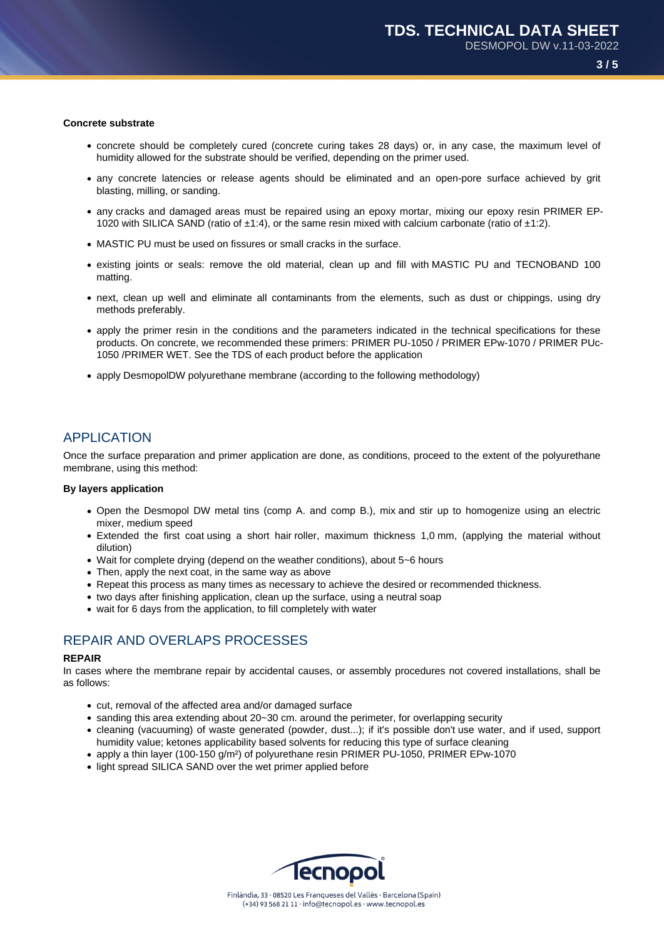#### **Concrete substrate**

- concrete should be completely cured (concrete curing takes 28 days) or, in any case, the maximum level of humidity allowed for the substrate should be verified, depending on the primer used.
- any concrete latencies or release agents should be eliminated and an open-pore surface achieved by grit blasting, milling, or sanding.
- any cracks and damaged areas must be repaired using an epoxy mortar, mixing our epoxy resin PRIMER EP-1020 with SILICA SAND (ratio of  $\pm 1:4$ ), or the same resin mixed with calcium carbonate (ratio of  $\pm 1:2$ ).
- MASTIC PU must be used on fissures or small cracks in the surface.
- existing joints or seals: remove the old material, clean up and fill with MASTIC PU and TECNOBAND 100 matting.
- next, clean up well and eliminate all contaminants from the elements, such as dust or chippings, using dry methods preferably.
- apply the primer resin in the conditions and the parameters indicated in the technical specifications for these products. On concrete, we recommended these primers: PRIMER PU-1050 / PRIMER EPw-1070 / PRIMER PUc-1050 /PRIMER WET. See the TDS of each product before the application
- apply DesmopolDW polyurethane membrane (according to the following methodology)

### APPLICATION

Once the surface preparation and primer application are done, as conditions, proceed to the extent of the polyurethane membrane, using this method:

#### **By layers application**

- Open the Desmopol DW metal tins (comp A. and comp B.), mix and stir up to homogenize using an electric mixer, medium speed
- Extended the first coat using a short hair roller, maximum thickness 1,0 mm, (applying the material without dilution)
- Wait for complete drying (depend on the weather conditions), about 5~6 hours
- Then, apply the next coat, in the same way as above
- Repeat this process as many times as necessary to achieve the desired or recommended thickness.
- two days after finishing application, clean up the surface, using a neutral soap
- wait for 6 days from the application, to fill completely with water

### REPAIR AND OVERLAPS PROCESSES

#### **REPAIR**

In cases where the membrane repair by accidental causes, or assembly procedures not covered installations, shall be as follows:

- cut, removal of the affected area and/or damaged surface
- sanding this area extending about 20~30 cm. around the perimeter, for overlapping security
- cleaning (vacuuming) of waste generated (powder, dust...); if it's possible don't use water, and if used, support humidity value; ketones applicability based solvents for reducing this type of surface cleaning
- apply a thin layer (100-150 g/m<sup>2</sup>) of polyurethane resin PRIMER PU-1050, PRIMER EPw-1070
- light spread SILICA SAND over the wet primer applied before

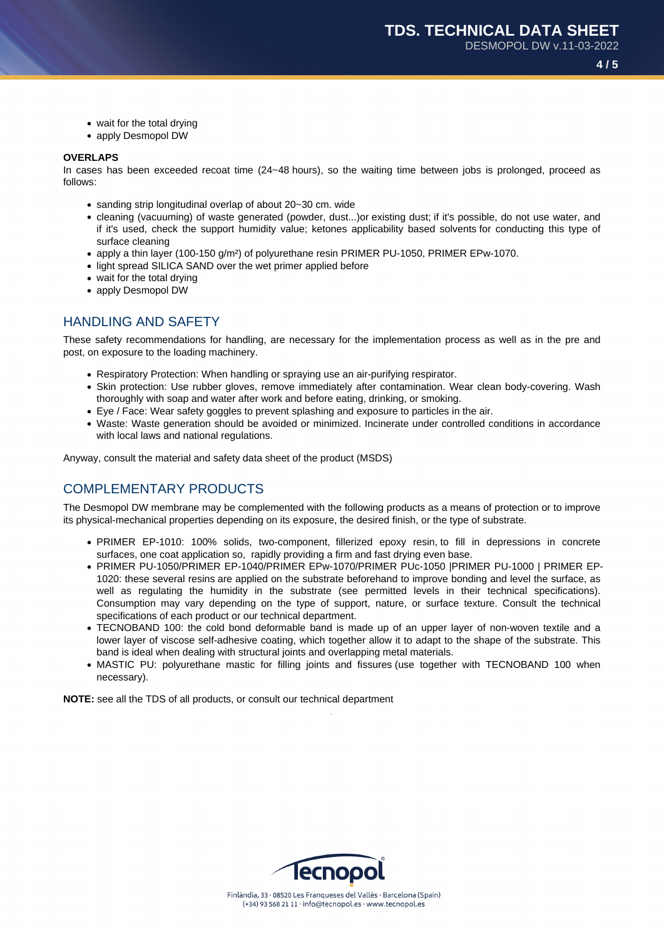**4 / 5**

- wait for the total drying
- apply Desmopol DW

#### **OVERLAPS**

In cases has been exceeded recoat time (24~48 hours), so the waiting time between jobs is prolonged, proceed as follows:

- sanding strip longitudinal overlap of about 20~30 cm. wide
- cleaning (vacuuming) of waste generated (powder, dust...)or existing dust; if it's possible, do not use water, and if it's used, check the support humidity value; ketones applicability based solvents for conducting this type of surface cleaning
- apply a thin layer (100-150 g/m<sup>2</sup>) of polyurethane resin PRIMER PU-1050, PRIMER EPw-1070.
- light spread SILICA SAND over the wet primer applied before
- wait for the total drying
- apply Desmopol DW

### HANDLING AND SAFETY

These safety recommendations for handling, are necessary for the implementation process as well as in the pre and post, on exposure to the loading machinery.

- Respiratory Protection: When handling or spraying use an air-purifying respirator.
- Skin protection: Use rubber gloves, remove immediately after contamination. Wear clean body-covering. Wash thoroughly with soap and water after work and before eating, drinking, or smoking.
- Eye / Face: Wear safety goggles to prevent splashing and exposure to particles in the air.
- Waste: Waste generation should be avoided or minimized. Incinerate under controlled conditions in accordance with local laws and national regulations.

Anyway, consult the material and safety data sheet of the product (MSDS)

#### COMPLEMENTARY PRODUCTS

The Desmopol DW membrane may be complemented with the following products as a means of protection or to improve its physical-mechanical properties depending on its exposure, the desired finish, or the type of substrate.

- PRIMER EP-1010: 100% solids, two-component, fillerized epoxy resin, to fill in depressions in concrete surfaces, one coat application so, rapidly providing a firm and fast drying even base.
- PRIMER PU-1050/PRIMER EP-1040/PRIMER EPw-1070/PRIMER PUc-1050 |PRIMER PU-1000 | PRIMER EP-1020: these several resins are applied on the substrate beforehand to improve bonding and level the surface, as well as regulating the humidity in the substrate (see permitted levels in their technical specifications). Consumption may vary depending on the type of support, nature, or surface texture. Consult the technical specifications of each product or our technical department.
- TECNOBAND 100: the cold bond deformable band is made up of an upper layer of non-woven textile and a lower layer of viscose self-adhesive coating, which together allow it to adapt to the shape of the substrate. This band is ideal when dealing with structural joints and overlapping metal materials.
- MASTIC PU: polyurethane mastic for filling joints and fissures (use together with TECNOBAND 100 when necessary).

**NOTE:** see all the TDS of all products, or consult our technical department